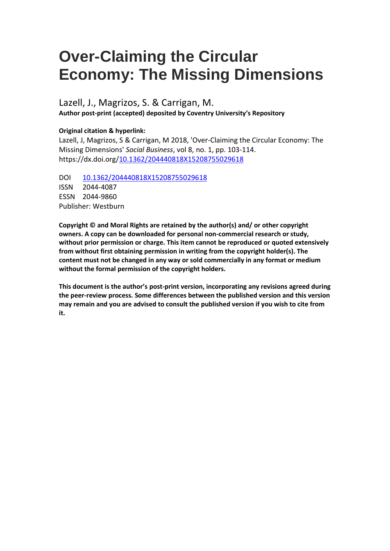# **Over-Claiming the Circular Economy: The Missing Dimensions**

# Lazell, J., Magrizos, S. & Carrigan, M. **Author post-print (accepted) deposited by Coventry University's Repository**

## **Original citation & hyperlink:**

Lazell, J, Magrizos, S & Carrigan, M 2018, 'Over-Claiming the Circular Economy: The Missing Dimensions' *Social Business*, vol 8, no. 1, pp. 103-114. https://dx.doi.org[/10.1362/204440818X15208755029618](https://doi.org/10.1362/204440818X15208755029618)

DOI [10.1362/204440818X15208755029618](https://doi.org/10.1362/204440818X15208755029618) ISSN 2044-4087 ESSN 2044-9860 Publisher: Westburn

**Copyright © and Moral Rights are retained by the author(s) and/ or other copyright owners. A copy can be downloaded for personal non-commercial research or study, without prior permission or charge. This item cannot be reproduced or quoted extensively from without first obtaining permission in writing from the copyright holder(s). The content must not be changed in any way or sold commercially in any format or medium without the formal permission of the copyright holders.** 

**This document is the author's post-print version, incorporating any revisions agreed during the peer-review process. Some differences between the published version and this version may remain and you are advised to consult the published version if you wish to cite from it.**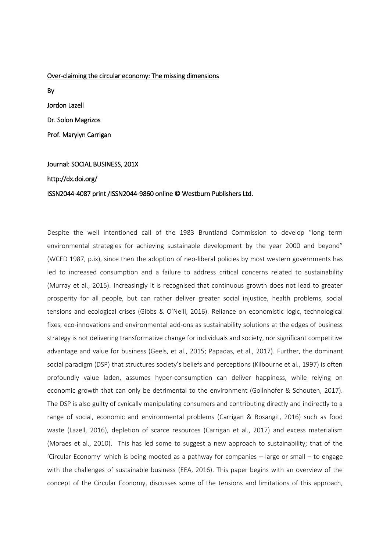#### Over-claiming the circular economy: The missing dimensions

By Jordon Lazell Dr. Solon Magrizos Prof. Marylyn Carrigan

# Journal: SOCIAL BUSINESS, 201X http://dx.doi.org/ ISSN2044-4087 print /ISSN2044-9860 online © Westburn Publishers Ltd.

Despite the well intentioned call of the 1983 Bruntland Commission to develop "long term environmental strategies for achieving sustainable development by the year 2000 and beyond" (WCED 1987, p.ix), since then the adoption of neo-liberal policies by most western governments has led to increased consumption and a failure to address critical concerns related to sustainability (Murray et al., 2015). Increasingly it is recognised that continuous growth does not lead to greater prosperity for all people, but can rather deliver greater social injustice, health problems, social tensions and ecological crises (Gibbs & O'Neill, 2016). Reliance on economistic logic, technological fixes, eco-innovations and environmental add-ons as sustainability solutions at the edges of business strategy is not delivering transformative change for individuals and society, nor significant competitive advantage and value for business (Geels, et al., 2015; Papadas, et al., 2017). Further, the dominant social paradigm (DSP) that structures society's beliefs and perceptions (Kilbourne et al., 1997) is often profoundly value laden, assumes hyper-consumption can deliver happiness, while relying on economic growth that can only be detrimental to the environment (Gollnhofer & Schouten, 2017). The DSP is also guilty of cynically manipulating consumers and contributing directly and indirectly to a range of social, economic and environmental problems (Carrigan & Bosangit, 2016) such as food waste (Lazell, 2016), depletion of scarce resources (Carrigan et al., 2017) and excess materialism (Moraes et al., 2010). This has led some to suggest a new approach to sustainability; that of the 'Circular Economy' which is being mooted as a pathway for companies – large or small – to engage with the challenges of sustainable business (EEA, 2016). This paper begins with an overview of the concept of the Circular Economy, discusses some of the tensions and limitations of this approach,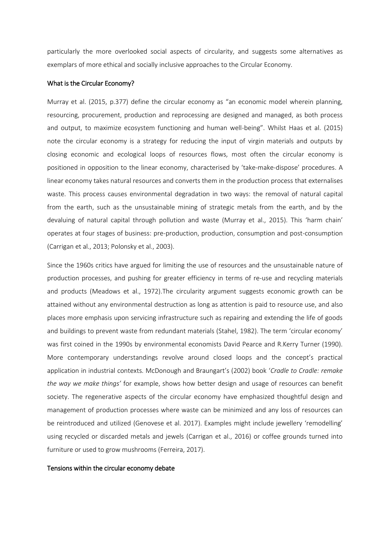particularly the more overlooked social aspects of circularity, and suggests some alternatives as exemplars of more ethical and socially inclusive approaches to the Circular Economy.

#### What is the Circular Economy?

Murray et al. (2015, p.377) define the circular economy as "an economic model wherein planning, resourcing, procurement, production and reprocessing are designed and managed, as both process and output, to maximize ecosystem functioning and human well-being". Whilst Haas et al. (2015) note the circular economy is a strategy for reducing the input of virgin materials and outputs by closing economic and ecological loops of resources flows, most often the circular economy is positioned in opposition to the linear economy, characterised by 'take-make-dispose' procedures. A linear economy takes natural resources and converts them in the production process that externalises waste. This process causes environmental degradation in two ways: the removal of natural capital from the earth, such as the unsustainable mining of strategic metals from the earth, and by the devaluing of natural capital through pollution and waste (Murray et al., 2015). This 'harm chain' operates at four stages of business: pre-production, production, consumption and post-consumption (Carrigan et al., 2013; Polonsky et al., 2003).

Since the 1960s critics have argued for limiting the use of resources and the unsustainable nature of production processes, and pushing for greater efficiency in terms of re-use and recycling materials and products (Meadows et al., 1972).The circularity argument suggests economic growth can be attained without any environmental destruction as long as attention is paid to resource use, and also places more emphasis upon servicing infrastructure such as repairing and extending the life of goods and buildings to prevent waste from redundant materials (Stahel, 1982). The term 'circular economy' was first coined in the 1990s by environmental economists David Pearce and R.Kerry Turner (1990). More contemporary understandings revolve around closed loops and the concept's practical application in industrial contexts. McDonough and Braungart's (2002) book '*Cradle to Cradle: remake the way we make things'* for example, shows how better design and usage of resources can benefit society. The regenerative aspects of the circular economy have emphasized thoughtful design and management of production processes where waste can be minimized and any loss of resources can be reintroduced and utilized (Genovese et al. 2017). Examples might include jewellery 'remodelling' using recycled or discarded metals and jewels (Carrigan et al., 2016) or coffee grounds turned into furniture or used to grow mushrooms (Ferreira, 2017).

#### Tensions within the circular economy debate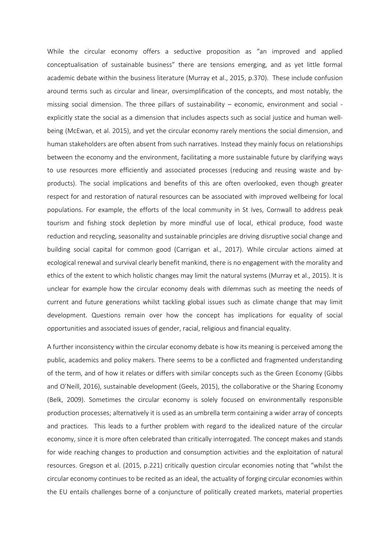While the circular economy offers a seductive proposition as "an improved and applied conceptualisation of sustainable business" there are tensions emerging, and as yet little formal academic debate within the business literature (Murray et al., 2015, p.370). These include confusion around terms such as circular and linear, oversimplification of the concepts, and most notably, the missing social dimension. The three pillars of sustainability – economic, environment and social explicitly state the social as a dimension that includes aspects such as social justice and human wellbeing (McEwan, et al. 2015), and yet the circular economy rarely mentions the social dimension, and human stakeholders are often absent from such narratives. Instead they mainly focus on relationships between the economy and the environment, facilitating a more sustainable future by clarifying ways to use resources more efficiently and associated processes (reducing and reusing waste and byproducts). The social implications and benefits of this are often overlooked, even though greater respect for and restoration of natural resources can be associated with improved wellbeing for local populations. For example, the efforts of the local community in St Ives, Cornwall to address peak tourism and fishing stock depletion by more mindful use of local, ethical produce, food waste reduction and recycling, seasonality and sustainable principles are driving disruptive social change and building social capital for common good (Carrigan et al., 2017). While circular actions aimed at ecological renewal and survival clearly benefit mankind, there is no engagement with the morality and ethics of the extent to which holistic changes may limit the natural systems (Murray et al., 2015). It is unclear for example how the circular economy deals with dilemmas such as meeting the needs of current and future generations whilst tackling global issues such as climate change that may limit development. Questions remain over how the concept has implications for equality of social opportunities and associated issues of gender, racial, religious and financial equality.

A further inconsistency within the circular economy debate is how its meaning is perceived among the public, academics and policy makers. There seems to be a conflicted and fragmented understanding of the term, and of how it relates or differs with similar concepts such as the Green Economy (Gibbs and O'Neill, 2016), sustainable development (Geels, 2015), the collaborative or the Sharing Economy (Belk, 2009). Sometimes the circular economy is solely focused on environmentally responsible production processes; alternatively it is used as an umbrella term containing a wider array of concepts and practices. This leads to a further problem with regard to the idealized nature of the circular economy, since it is more often celebrated than critically interrogated. The concept makes and stands for wide reaching changes to production and consumption activities and the exploitation of natural resources. Gregson et al. (2015, p.221) critically question circular economies noting that "whilst the circular economy continues to be recited as an ideal, the actuality of forging circular economies within the EU entails challenges borne of a conjuncture of politically created markets, material properties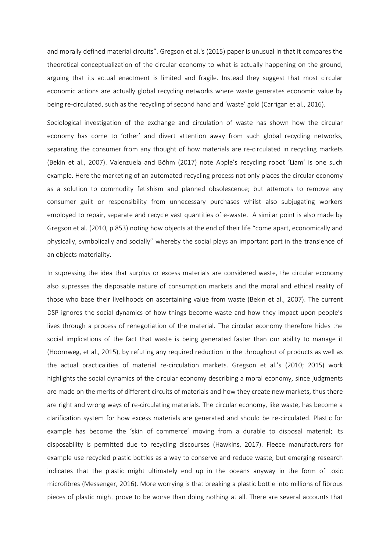and morally defined material circuits". Gregson et al.'s (2015) paper is unusual in that it compares the theoretical conceptualization of the circular economy to what is actually happening on the ground, arguing that its actual enactment is limited and fragile. Instead they suggest that most circular economic actions are actually global recycling networks where waste generates economic value by being re-circulated, such as the recycling of second hand and 'waste' gold (Carrigan et al., 2016).

Sociological investigation of the exchange and circulation of waste has shown how the circular economy has come to 'other' and divert attention away from such global recycling networks, separating the consumer from any thought of how materials are re-circulated in recycling markets (Bekin et al., 2007). Valenzuela and Böhm (2017) note Apple's recycling robot 'Liam' is one such example. Here the marketing of an automated recycling process not only places the circular economy as a solution to commodity fetishism and planned obsolescence; but attempts to remove any consumer guilt or responsibility from unnecessary purchases whilst also subjugating workers employed to repair, separate and recycle vast quantities of e-waste. A similar point is also made by Gregson et al. (2010, p.853) noting how objects at the end of their life "come apart, economically and physically, symbolically and socially" whereby the social plays an important part in the transience of an objects materiality.

In supressing the idea that surplus or excess materials are considered waste, the circular economy also supresses the disposable nature of consumption markets and the moral and ethical reality of those who base their livelihoods on ascertaining value from waste (Bekin et al., 2007). The current DSP ignores the social dynamics of how things become waste and how they impact upon people's lives through a process of renegotiation of the material. The circular economy therefore hides the social implications of the fact that waste is being generated faster than our ability to manage it (Hoornweg, et al., 2015), by refuting any required reduction in the throughput of products as well as the actual practicalities of material re-circulation markets. Gregson et al.'s (2010; 2015) work highlights the social dynamics of the circular economy describing a moral economy, since judgments are made on the merits of different circuits of materials and how they create new markets, thus there are right and wrong ways of re-circulating materials. The circular economy, like waste, has become a clarification system for how excess materials are generated and should be re-circulated. Plastic for example has become the 'skin of commerce' moving from a durable to disposal material; its disposability is permitted due to recycling discourses (Hawkins, 2017). Fleece manufacturers for example use recycled plastic bottles as a way to conserve and reduce waste, but emerging research indicates that the plastic might ultimately end up in the oceans anyway in the form of toxic microfibres (Messenger, 2016). More worrying is that breaking a plastic bottle into millions of fibrous pieces of plastic might prove to be worse than doing nothing at all. There are several accounts that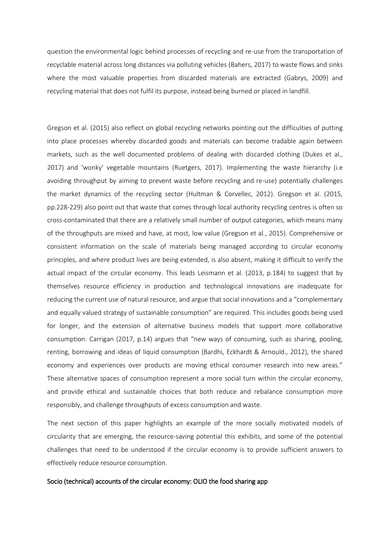question the environmental logic behind processes of recycling and re-use from the transportation of recyclable material across long distances via polluting vehicles (Bahers, 2017) to waste flows and sinks where the most valuable properties from discarded materials are extracted (Gabrys, 2009) and recycling material that does not fulfil its purpose, instead being burned or placed in landfill.

Gregson et al. (2015) also reflect on global recycling networks pointing out the difficulties of putting into place processes whereby discarded goods and materials can become tradable again between markets, such as the well documented problems of dealing with discarded clothing (Dukes et al., 2017) and 'wonky' vegetable mountains (Ruetgers, 2017). Implementing the waste hierarchy (i.e avoiding throughput by aiming to prevent waste before recycling and re-use) potentially challenges the market dynamics of the recycling sector (Hultman & Corvellec, 2012). Gregson et al. (2015, pp.228-229) also point out that waste that comes through local authority recycling centres is often so cross-contaminated that there are a relatively small number of output categories, which means many of the throughputs are mixed and have, at most, low value (Gregson et al., 2015). Comprehensive or consistent information on the scale of materials being managed according to circular economy principles, and where product lives are being extended, is also absent, making it difficult to verify the actual impact of the circular economy. This leads Leismann et al. (2013, p.184) to suggest that by themselves resource efficiency in production and technological innovations are inadequate for reducing the current use of natural resource, and argue that social innovations and a "complementary and equally valued strategy of sustainable consumption" are required. This includes goods being used for longer, and the extension of alternative business models that support more collaborative consumption. Carrigan (2017, p.14) argues that "new ways of consuming, such as sharing, pooling, renting, borrowing and ideas of liquid consumption (Bardhi, Eckhardt & Arnould., 2012), the shared economy and experiences over products are moving ethical consumer research into new areas." These alternative spaces of consumption represent a more social turn within the circular economy, and provide ethical and sustainable choices that both reduce and rebalance consumption more responsibly, and challenge throughputs of excess consumption and waste.

The next section of this paper highlights an example of the more socially motivated models of circularity that are emerging, the resource-saving potential this exhibits, and some of the potential challenges that need to be understood if the circular economy is to provide sufficient answers to effectively reduce resource consumption.

#### Socio (technical) accounts of the circular economy: OLIO the food sharing app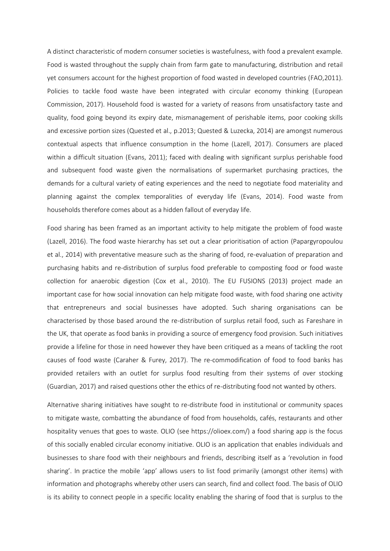A distinct characteristic of modern consumer societies is wastefulness, with food a prevalent example. Food is wasted throughout the supply chain from farm gate to manufacturing, distribution and retail yet consumers account for the highest proportion of food wasted in developed countries (FAO,2011). Policies to tackle food waste have been integrated with circular economy thinking (European Commission, 2017). Household food is wasted for a variety of reasons from unsatisfactory taste and quality, food going beyond its expiry date, mismanagement of perishable items, poor cooking skills and excessive portion sizes (Quested et al., p.2013; Quested & Luzecka, 2014) are amongst numerous contextual aspects that influence consumption in the home (Lazell, 2017). Consumers are placed within a difficult situation (Evans, 2011); faced with dealing with significant surplus perishable food and subsequent food waste given the normalisations of supermarket purchasing practices, the demands for a cultural variety of eating experiences and the need to negotiate food materiality and planning against the complex temporalities of everyday life (Evans, 2014). Food waste from households therefore comes about as a hidden fallout of everyday life.

Food sharing has been framed as an important activity to help mitigate the problem of food waste (Lazell, 2016). The food waste hierarchy has set out a clear prioritisation of action (Papargyropoulou et al., 2014) with preventative measure such as the sharing of food, re-evaluation of preparation and purchasing habits and re-distribution of surplus food preferable to composting food or food waste collection for anaerobic digestion (Cox et al., 2010). The EU FUSIONS (2013) project made an important case for how social innovation can help mitigate food waste, with food sharing one activity that entrepreneurs and social businesses have adopted. Such sharing organisations can be characterised by those based around the re-distribution of surplus retail food, such as Fareshare in the UK, that operate as food banks in providing a source of emergency food provision. Such initiatives provide a lifeline for those in need however they have been critiqued as a means of tackling the root causes of food waste (Caraher & Furey, 2017). The re-commodification of food to food banks has provided retailers with an outlet for surplus food resulting from their systems of over stocking (Guardian, 2017) and raised questions other the ethics of re-distributing food not wanted by others.

Alternative sharing initiatives have sought to re-distribute food in institutional or community spaces to mitigate waste, combatting the abundance of food from households, cafés, restaurants and other hospitality venues that goes to waste. OLIO (see https://olioex.com/) a food sharing app is the focus of this socially enabled circular economy initiative. OLIO is an application that enables individuals and businesses to share food with their neighbours and friends, describing itself as a 'revolution in food sharing'. In practice the mobile 'app' allows users to list food primarily (amongst other items) with information and photographs whereby other users can search, find and collect food. The basis of OLIO is its ability to connect people in a specific locality enabling the sharing of food that is surplus to the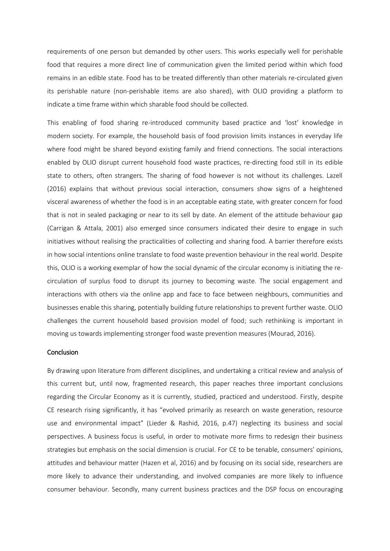requirements of one person but demanded by other users. This works especially well for perishable food that requires a more direct line of communication given the limited period within which food remains in an edible state. Food has to be treated differently than other materials re-circulated given its perishable nature (non-perishable items are also shared), with OLIO providing a platform to indicate a time frame within which sharable food should be collected.

This enabling of food sharing re-introduced community based practice and 'lost' knowledge in modern society. For example, the household basis of food provision limits instances in everyday life where food might be shared beyond existing family and friend connections. The social interactions enabled by OLIO disrupt current household food waste practices, re-directing food still in its edible state to others, often strangers. The sharing of food however is not without its challenges. Lazell (2016) explains that without previous social interaction, consumers show signs of a heightened visceral awareness of whether the food is in an acceptable eating state, with greater concern for food that is not in sealed packaging or near to its sell by date. An element of the attitude behaviour gap (Carrigan & Attala, 2001) also emerged since consumers indicated their desire to engage in such initiatives without realising the practicalities of collecting and sharing food. A barrier therefore exists in how social intentions online translate to food waste prevention behaviour in the real world. Despite this, OLIO is a working exemplar of how the social dynamic of the circular economy is initiating the recirculation of surplus food to disrupt its journey to becoming waste. The social engagement and interactions with others via the online app and face to face between neighbours, communities and businesses enable this sharing, potentially building future relationships to prevent further waste. OLIO challenges the current household based provision model of food; such rethinking is important in moving us towards implementing stronger food waste prevention measures (Mourad, 2016).

#### **Conclusion**

By drawing upon literature from different disciplines, and undertaking a critical review and analysis of this current but, until now, fragmented research, this paper reaches three important conclusions regarding the Circular Economy as it is currently, studied, practiced and understood. Firstly, despite CE research rising significantly, it has "evolved primarily as research on waste generation, resource use and environmental impact" (Lieder & Rashid, 2016, p.47) neglecting its business and social perspectives. A business focus is useful, in order to motivate more firms to redesign their business strategies but emphasis on the social dimension is crucial. For CE to be tenable, consumers' opinions, attitudes and behaviour matter (Hazen et al, 2016) and by focusing on its social side, researchers are more likely to advance their understanding, and involved companies are more likely to influence consumer behaviour. Secondly, many current business practices and the DSP focus on encouraging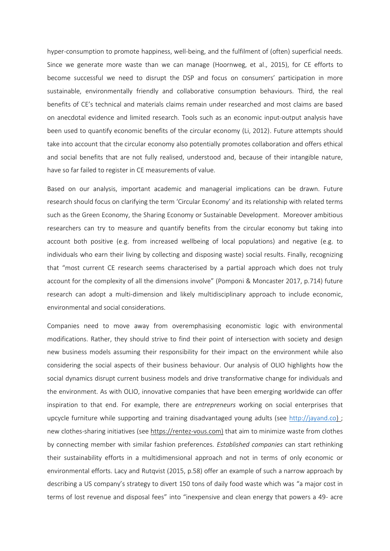hyper-consumption to promote happiness, well-being, and the fulfilment of (often) superficial needs. Since we generate more waste than we can manage (Hoornweg, et al., 2015), for CE efforts to become successful we need to disrupt the DSP and focus on consumers' participation in more sustainable, environmentally friendly and collaborative consumption behaviours. Third, the real benefits of CE's technical and materials claims remain under researched and most claims are based on anecdotal evidence and limited research. Tools such as an economic input-output analysis have been used to quantify economic benefits of the circular economy (Li, 2012). Future attempts should take into account that the circular economy also potentially promotes collaboration and offers ethical and social benefits that are not fully realised, understood and, because of their intangible nature, have so far failed to register in CE measurements of value.

Based on our analysis, important academic and managerial implications can be drawn. Future research should focus on clarifying the term 'Circular Economy' and its relationship with related terms such as the Green Economy, the Sharing Economy or Sustainable Development. Moreover ambitious researchers can try to measure and quantify benefits from the circular economy but taking into account both positive (e.g. from increased wellbeing of local populations) and negative (e.g. to individuals who earn their living by collecting and disposing waste) social results. Finally, recognizing that "most current CE research seems characterised by a partial approach which does not truly account for the complexity of all the dimensions involve" (Pomponi & Moncaster 2017, p.714) future research can adopt a multi-dimension and likely multidisciplinary approach to include economic, environmental and social considerations.

Companies need to move away from overemphasising economistic logic with environmental modifications. Rather, they should strive to find their point of intersection with society and design new business models assuming their responsibility for their impact on the environment while also considering the social aspects of their business behaviour. Our analysis of OLIO highlights how the social dynamics disrupt current business models and drive transformative change for individuals and the environment. As with OLIO, innovative companies that have been emerging worldwide can offer inspiration to that end. For example, there are *entrepreneurs* working on social enterprises that upcycle furniture while supporting and training disadvantaged young adults (see [http://jayand.co\)](http://jayand.co/); new clothes-sharing initiatives (see [https://rentez-vous.com\)](https://rentez-vous.com)/) that aim to minimize waste from clothes by connecting member with similar fashion preferences. *Established companies* can start rethinking their sustainability efforts in a multidimensional approach and not in terms of only economic or environmental efforts. Lacy and Rutqvist (2015, p.58) offer an example of such a narrow approach by describing a US company's strategy to divert 150 tons of daily food waste which was "a major cost in terms of lost revenue and disposal fees" into "inexpensive and clean energy that powers a 49- acre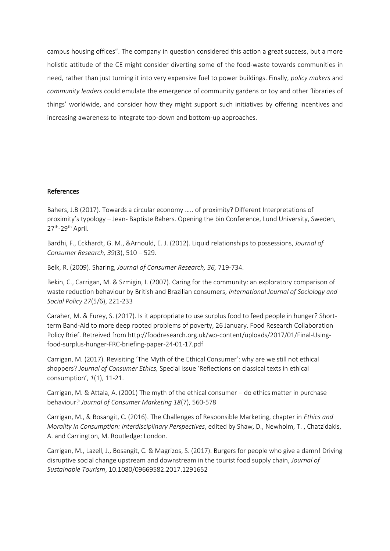campus housing offices". The company in question considered this action a great success, but a more holistic attitude of the CE might consider diverting some of the food-waste towards communities in need, rather than just turning it into very expensive fuel to power buildings. Finally, *policy makers* and *community leaders* could emulate the emergence of community gardens or toy and other 'libraries of things' worldwide, and consider how they might support such initiatives by offering incentives and increasing awareness to integrate top-down and bottom-up approaches.

### References

Bahers, J.B (2017). Towards a circular economy ….. of proximity? Different Interpretations of proximity's typology – Jean- Baptiste Bahers. Opening the bin Conference, Lund University, Sweden, 27<sup>th</sup>-29<sup>th</sup> April.

Bardhi, F., Eckhardt, G. M., &Arnould, E. J. (2012). Liquid relationships to possessions, *Journal of Consumer Research, 39*(3), 510 – 529.

Belk, R. (2009). Sharing, *Journal of Consumer Research, 36,* 719-734.

Bekin, C., Carrigan, M. & Szmigin, I. (2007). Caring for the community: an exploratory comparison of waste reduction behaviour by British and Brazilian consumers, *International Journal of Sociology and Social Policy 27*(5/6), 221-233

Caraher, M. & Furey, S. (2017). Is it appropriate to use surplus food to feed people in hunger? Shortterm Band-Aid to more deep rooted problems of poverty, 26 January. Food Research Collaboration Policy Brief. Retreived from http://foodresearch.org.uk/wp-content/uploads/2017/01/Final-Usingfood-surplus-hunger-FRC-briefing-paper-24-01-17.pdf

Carrigan, M. (2017). Revisiting 'The Myth of the Ethical Consumer': why are we still not ethical shoppers? *Journal of Consumer Ethics,* Special Issue 'Reflections on classical texts in ethical consumption', *1*(1), 11-21.

Carrigan, M. & Attala, A. (2001) The myth of the ethical consumer – do ethics matter in purchase behaviour? *Journal of Consumer Marketing 18*(7), 560-578

Carrigan, M., & Bosangit, C. (2016). The Challenges of Responsible Marketing, chapter in *Ethics and Morality in Consumption: Interdisciplinary Perspectives*, edited by Shaw, D., Newholm, T. , Chatzidakis, A. and Carrington, M. Routledge: London.

Carrigan, M., Lazell, J., Bosangit, C. & Magrizos, S. (2017). Burgers for people who give a damn! Driving disruptive social change upstream and downstream in the tourist food supply chain, *Journal of Sustainable Tourism*, 10.1080/09669582.2017.1291652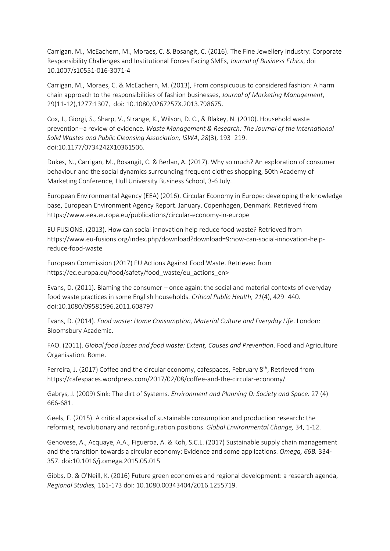Carrigan, M., McEachern, M., Moraes, C. & Bosangit, C. (2016). The Fine Jewellery Industry: Corporate Responsibility Challenges and Institutional Forces Facing SMEs, *Journal of Business Ethics*, doi 10.1007/s10551-016-3071-4

Carrigan, M., Moraes, C. & McEachern, M. (2013), From conspicuous to considered fashion: A harm chain approach to the responsibilities of fashion businesses, *Journal of Marketing Management*, 29(11-12),1277:1307, doi: 10.1080/0267257X.2013.798675.

Cox, J., Giorgi, S., Sharp, V., Strange, K., Wilson, D. C., & Blakey, N. (2010). Household waste prevention--a review of evidence*. Waste Management & Research: The Journal of the International Solid Wastes and Public Cleansing Association, ISWA*, *28*(3), 193–219. doi:10.1177/0734242X10361506.

Dukes, N., Carrigan, M., Bosangit, C. & Berlan, A. (2017). Why so much? An exploration of consumer behaviour and the social dynamics surrounding frequent clothes shopping, 50th Academy of Marketing Conference, Hull University Business School, 3-6 July.

European Environmental Agency (EEA) (2016). Circular Economy in Europe: developing the knowledge base, European Environment Agency Report. January. Copenhagen, Denmark. Retrieved from https://www.eea.europa.eu/publications/circular-economy-in-europe

EU FUSIONS. (2013). How can social innovation help reduce food waste? Retrieved from https://www.eu-fusions.org/index.php/download?download=9:how-can-social-innovation-helpreduce-food-waste

European Commission (2017) EU Actions Against Food Waste. Retrieved from https://ec.europa.eu/food/safety/food\_waste/eu\_actions\_en>

Evans, D. (2011). Blaming the consumer – once again: the social and material contexts of everyday food waste practices in some English households. *Critical Public Health, 21*(4), 429–440. doi:10.1080/09581596.2011.608797

Evans, D. (2014). *Food waste: Home Consumption, Material Culture and Everyday Life*. London: Bloomsbury Academic.

FAO. (2011). *Global food losses and food waste: Extent, Causes and Prevention*. Food and Agriculture Organisation. Rome.

Ferreira, J. (2017) Coffee and the circular economy, cafespaces, February 8<sup>th</sup>, Retrieved from https://cafespaces.wordpress.com/2017/02/08/coffee-and-the-circular-economy/

Gabrys, J. (2009) Sink: The dirt of Systems. *Environment and Planning D: Society and Space.* 27 (4) 666-681.

Geels, F. (2015). A critical appraisal of sustainable consumption and production research: the reformist, revolutionary and reconfiguration positions. *Global Environmental Change,* 34, 1-12.

Genovese, A., Acquaye, A.A., Figueroa, A. & Koh, S.C.L. (2017) Sustainable supply chain management and the transition towards a circular economy: Evidence and some applications. *Omega, 66B.* 334- 357. doi:10.1016/j.omega.2015.05.015

Gibbs, D. & O'Neill, K. (2016) Future green economies and regional development: a research agenda, *Regional Studies,* 161-173 doi: 10.1080.00343404/2016.1255719.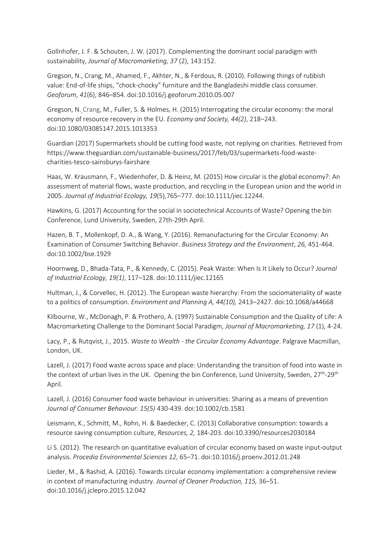Gollnhofer, J. F. & Schouten, J. W. (2017). Complementing the dominant social paradigm with sustainability, *Journal of Macromarketing, 37* (2), 143:152.

Gregson, N., Crang, M., Ahamed, F., Akhter, N., & Ferdous, R. (2010). Following things of rubbish value: End-of-life ships, "chock-chocky" furniture and the Bangladeshi middle class consumer. *Geoforum*, *41*(6), 846–854. doi:10.1016/j.geoforum.2010.05.007

Gregson, N. Crang, M., Fuller, S. & Holmes, H. (2015) Interrogating the circular economy: the moral economy of resource recovery in the EU. *Economy and Society, 44(2)*, 218–243. doi:10.1080/03085147.2015.1013353

Guardian (2017) Supermarkets should be cutting food waste, not replying on charities. Retrieved from https://www.theguardian.com/sustainable-business/2017/feb/03/supermarkets-food-wastecharities-tesco-sainsburys-fairshare

Haas, W. Krausmann, F., Wiedenhofer, D. & Heinz, M. (2015) How circular is the global economy?: An assessment of material flows, waste production, and recycling in the European union and the world in 2005. *Journal of Industrial Ecology, 19*(5),765–777. doi:10.1111/jiec.12244.

Hawkins, G. (2017) Accounting for the social in sociotechnical Accounts of Waste? Opening the bin Conference, Lund University, Sweden, 27th-29th April.

Hazen, B. T., Mollenkopf, D. A., & Wang, Y. (2016). Remanufacturing for the Circular Economy: An Examination of Consumer Switching Behavior. *Business Strategy and the Environment*, *26,* 451-464. doi:10.1002/bse.1929

Hoornweg, D., Bhada-Tata, P., & Kennedy, C. (2015). Peak Waste: When Is It Likely to Occur? *Journal of Industrial Ecology, 19(1)*, 117–128. doi:10.1111/jiec.12165

Hultman, J., & Corvellec, H. (2012). The European waste hierarchy: From the sociomateriality of waste to a politics of consumption. *Environment and Planning A, 44(10),* 2413–2427. doi:10.1068/a44668

Kilbourne, W., McDonagh, P. & Prothero, A. (1997) Sustainable Consumption and the Quality of Life: A Macromarketing Challenge to the Dominant Social Paradigm, *Journal of Macromarketing, 17* (1), 4-24.

Lacy, P., & Rutqvist, J., 2015. *Waste to Wealth - the Circular Economy Advantage*. Palgrave Macmillan, London, UK.

Lazell, J. (2017) Food waste across space and place: Understanding the transition of food into waste in the context of urban lives in the UK. Opening the bin Conference, Lund University, Sweden, 27<sup>th</sup>-29<sup>th</sup> April.

Lazell, J. (2016) Consumer food waste behaviour in universities: Sharing as a means of prevention *Journal of Consumer Behaviour. 15(5)* 430-439. doi:10.1002/cb.1581

Leismann, K., Schmitt, M., Rohn, H. & Baedecker, C. (2013) Collaborative consumption: towards a resource saving consumption culture, *Resources, 2,* 184-203. doi:10.3390/resources2030184

Li S. (2012). The research on quantitative evaluation of circular economy based on waste input-output analysis. *Procedia Environmental Sciences 12*, 65–71. doi:10.1016/j.proenv.2012.01.248

Lieder, M., & Rashid, A. (2016). Towards circular economy implementation: a comprehensive review in context of manufacturing industry*. Journal of Cleaner Production, 115,* 36–51. doi:10.1016/j.jclepro.2015.12.042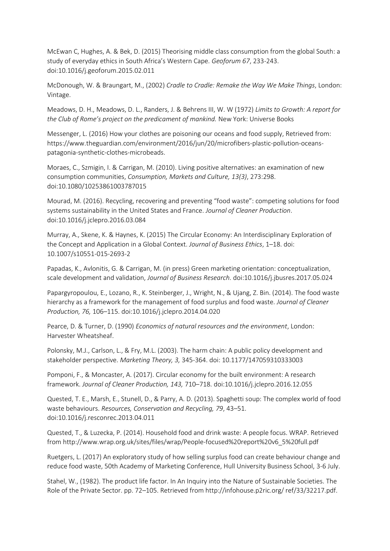McEwan C, Hughes, A. & Bek, D. (2015) Theorising middle class consumption from the global South: a study of everyday ethics in South Africa's Western Cape. *Geoforum 67*, 233-243. doi:10.1016/j.geoforum.2015.02.011

McDonough, W. & Braungart, M., (2002) *Cradle to Cradle: Remake the Way We Make Things*, London: Vintage.

Meadows, D. H., Meadows, D. L., Randers, J. & Behrens III, W. W (1972) *Limits to Growth: A report for the Club of Rome's project on the predicament of mankind.* New York: Universe Books

Messenger, L. (2016) How your clothes are poisoning our oceans and food supply, Retrieved from: [https://www.theguardian.com/environment/2016/jun/20/microfibers-plastic-pollution-oceans](https://www.theguardian.com/environment/2016/jun/20/microfibers-plastic-pollution-oceans-patagonia-synthetic-clothes-microbeads)[patagonia-synthetic-clothes-microbeads.](https://www.theguardian.com/environment/2016/jun/20/microfibers-plastic-pollution-oceans-patagonia-synthetic-clothes-microbeads)

Moraes, C., Szmigin, I. & Carrigan, M. (2010). Living positive alternatives: an examination of new consumption communities, *Consumption, Markets and Culture, 13(3)*, 273:298. doi:10.1080/10253861003787015

Mourad, M. (2016). Recycling, recovering and preventing "food waste": competing solutions for food systems sustainability in the United States and France. *Journal of Cleaner Production*. doi:10.1016/j.jclepro.2016.03.084

Murray, A., Skene, K. & Haynes, K. (2015) The Circular Economy: An Interdisciplinary Exploration of the Concept and Application in a Global Context. *Journal of Business Ethics*, 1–18. doi: 10.1007/s10551-015-2693-2

Papadas, K., Avlonitis, G. & Carrigan, M. (in press) Green marketing orientation: conceptualization, scale development and validation, *Journal of Business Research.* doi:10.1016/j.jbusres.2017.05.024

Papargyropoulou, E., Lozano, R., K. Steinberger, J., Wright, N., & Ujang, Z. Bin. (2014). The food waste hierarchy as a framework for the management of food surplus and food waste. *Journal of Cleaner Production, 76,* 106–115. doi:10.1016/j.jclepro.2014.04.020

Pearce, D. & Turner, D. (1990) *Economics of natural resources and the environment*, London: Harvester Wheatsheaf.

Polonsky, M.J., Carlson, L., & Fry, M.L. (2003). The harm chain: A public policy development and stakeholder perspective. *Marketing Theory, 3,* 345-364. doi: 10.1177/147059310333003

Pomponi, F., & Moncaster, A. (2017). Circular economy for the built environment: A research framework. *Journal of Cleaner Production, 143,* 710–718. doi:10.1016/j.jclepro.2016.12.055

Quested, T. E., Marsh, E., Stunell, D., & Parry, A. D. (2013). Spaghetti soup: The complex world of food waste behaviours. *Resources, Conservation and Recycling, 79*, 43–51. doi:10.1016/j.resconrec.2013.04.011

Quested, T., & Luzecka, P. (2014). Household food and drink waste: A people focus. WRAP. Retrieved from http://www.wrap.org.uk/sites/files/wrap/People-focused%20report%20v6\_5%20full.pdf

Ruetgers, L. (2017) An exploratory study of how selling surplus food can create behaviour change and reduce food waste, 50th Academy of Marketing Conference, Hull University Business School, 3-6 July.

Stahel, W., (1982). The product life factor. In An Inquiry into the Nature of Sustainable Societies. The Role of the Private Sector. pp. 72–105. Retrieved from http://infohouse.p2ric.org/ ref/33/32217.pdf.